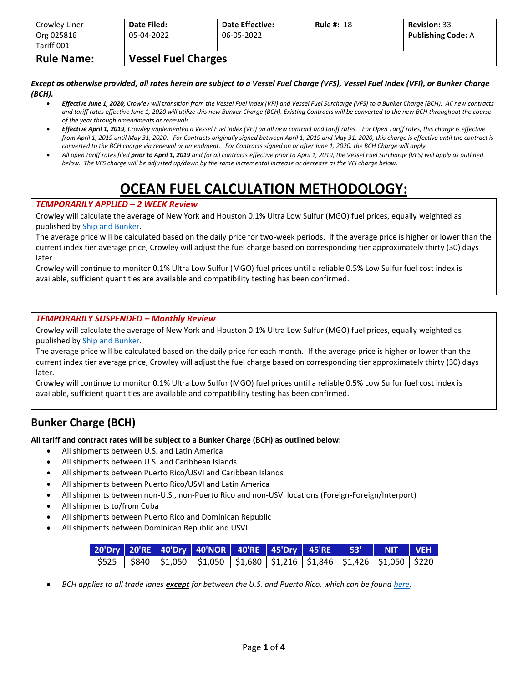| Crowley Liner<br>Org 025816 | Date Filed:<br>05-04-2022  | <b>Date Effective:</b><br>06-05-2022 | <b>Rule #: 18</b> | <b>Revision: 33</b><br><b>Publishing Code: A</b> |
|-----------------------------|----------------------------|--------------------------------------|-------------------|--------------------------------------------------|
| Tariff 001                  |                            |                                      |                   |                                                  |
| <b>Rule Name:</b>           | <b>Vessel Fuel Charges</b> |                                      |                   |                                                  |

*Except as otherwise provided, all rates herein are subject to a Vessel Fuel Charge (VFS), Vessel Fuel Index (VFI), or Bunker Charge (BCH).*

- *Effective June 1, 2020, Crowley will transition from the Vessel Fuel Index (VFI) and Vessel Fuel Surcharge (VFS) to a Bunker Charge (BCH). All new contracts and tariff rates effective June 1, 2020 will utilize this new Bunker Charge (BCH). Existing Contracts will be converted to the new BCH throughout the course of the year through amendments or renewals.*
- *Effective April 1, 2019, Crowley implemented a Vessel Fuel Index (VFI) on all new contract and tariff rates. For Open Tariff rates, this charge is effective from April 1, 2019 until May 31, 2020. For Contracts originally signed between April 1, 2019 and May 31, 2020, this charge is effective until the contract is converted to the BCH charge via renewal or amendment. For Contracts signed on or after June 1, 2020, the BCH Charge will apply.*
- *All open tariff rates filed prior to April 1, 2019 and for all contracts effective prior to April 1, 2019, the Vessel Fuel Surcharge (VFS) will apply as outlined below. The VFS charge will be adjusted up/down by the same incremental increase or decrease as the VFI charge below.*

# **OCEAN FUEL CALCULATION METHODOLOGY:**

#### *TEMPORARILY APPLIED – 2 WEEK Review*

Crowley will calculate the average of New York and Houston 0.1% Ultra Low Sulfur (MGO) fuel prices, equally weighted as published b[y Ship and Bunker.](https://shipandbunker.com/)

The average price will be calculated based on the daily price for two-week periods. If the average price is higher or lower than the current index tier average price, Crowley will adjust the fuel charge based on corresponding tier approximately thirty (30) days later.

Crowley will continue to monitor 0.1% Ultra Low Sulfur (MGO) fuel prices until a reliable 0.5% Low Sulfur fuel cost index is available, sufficient quantities are available and compatibility testing has been confirmed.

#### *TEMPORARILY SUSPENDED – Monthly Review*

Crowley will calculate the average of New York and Houston 0.1% Ultra Low Sulfur (MGO) fuel prices, equally weighted as published b[y Ship and Bunker.](https://shipandbunker.com/)

The average price will be calculated based on the daily price for each month. If the average price is higher or lower than the current index tier average price, Crowley will adjust the fuel charge based on corresponding tier approximately thirty (30) days later.

Crowley will continue to monitor 0.1% Ultra Low Sulfur (MGO) fuel prices until a reliable 0.5% Low Sulfur fuel cost index is available, sufficient quantities are available and compatibility testing has been confirmed.

### **Bunker Charge (BCH)**

**All tariff and contract rates will be subject to a Bunker Charge (BCH) as outlined below:**

- All shipments between U.S. and Latin America
- All shipments between U.S. and Caribbean Islands
- All shipments between Puerto Rico/USVI and Caribbean Islands
- All shipments between Puerto Rico/USVI and Latin America
- All shipments between non-U.S., non-Puerto Rico and non-USVI locations (Foreign-Foreign/Interport)
- All shipments to/from Cuba
- All shipments between Puerto Rico and Dominican Republic
- All shipments between Dominican Republic and USVI

|  |                                                                                             | 20'Dry   20'RE   40'Dry   40'NOR   40'RE   45'Dry   45'RE   53'   NIT   VEH |  |  |  |
|--|---------------------------------------------------------------------------------------------|-----------------------------------------------------------------------------|--|--|--|
|  | \$525   \$840   \$1,050   \$1,050   \$1,680   \$1,216   \$1,846   \$1,426   \$1,050   \$220 |                                                                             |  |  |  |

• *BCH applies to all trade lanes except for between the U.S. and Puerto Rico, which can be foun[d here.](https://www.crowley.com/logistics/resources/rates-tariffs/stb/#18-1-vessel-fuel-surcharge-between-the-continental-us-and-puerto-rico)*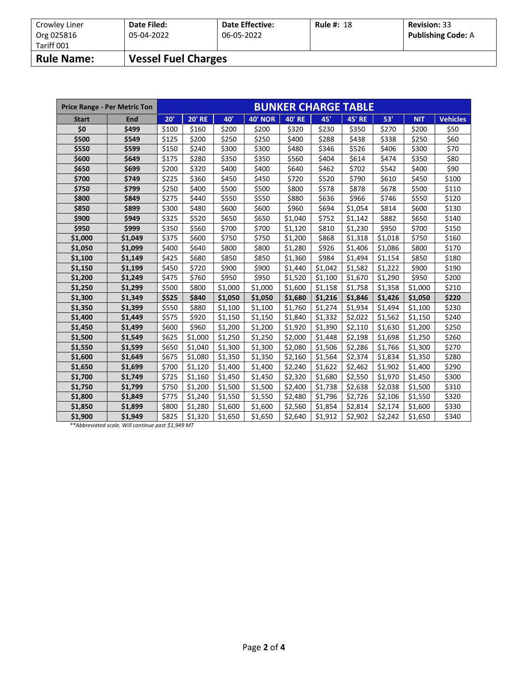| Crowley Liner<br>Org 025816 | Date Filed:<br>05-04-2022  | <b>Date Effective:</b><br>06-05-2022 | <b>Rule #: 18</b> | <b>Revision: 33</b><br><b>Publishing Code: A</b> |
|-----------------------------|----------------------------|--------------------------------------|-------------------|--------------------------------------------------|
| Tariff 001                  |                            |                                      |                   |                                                  |
| <b>Rule Name:</b>           | <b>Vessel Fuel Charges</b> |                                      |                   |                                                  |

|              | <b>Price Range - Per Metric Ton</b> |       |               |         |                | <b>BUNKER CHARGE TABLE</b> |         |               |         |            |                 |
|--------------|-------------------------------------|-------|---------------|---------|----------------|----------------------------|---------|---------------|---------|------------|-----------------|
| <b>Start</b> | <b>End</b>                          | 20'   | <b>20' RE</b> | 40'     | <b>40' NOR</b> | <b>40' RE</b>              | 45'     | <b>45' RE</b> | 53'     | <b>NIT</b> | <b>Vehicles</b> |
| \$0          | \$499                               | \$100 | \$160         | \$200   | \$200          | \$320                      | \$230   |               | \$270   | \$200      | \$50            |
| \$500        | \$549                               | \$125 | \$200         | \$250   | \$250          | \$400                      | \$288   | \$438         | \$338   | \$250      | \$60            |
| \$550        | \$599                               | \$150 | \$240         | \$300   | \$300          | \$480                      | \$346   | \$526         | \$406   | \$300      | \$70            |
| \$600        | \$649                               | \$175 | \$280         | \$350   | \$350          | \$560                      | \$404   | \$614         | \$474   | \$350      | \$80            |
| \$650        | \$699                               | \$200 | \$320         | \$400   | \$400          | \$640                      | \$462   | \$702         | \$542   | \$400      | \$90            |
| \$700        | \$749                               | \$225 | \$360         | \$450   | \$450          | \$720                      | \$520   | \$790         | \$610   | \$450      | \$100           |
| \$750        | \$799                               | \$250 | \$400         | \$500   | \$500          | \$800                      | \$578   | \$878         | \$678   | \$500      | \$110           |
| \$800        | \$849                               | \$275 | \$440         | \$550   | \$550          | \$880                      | \$636   | \$966         | \$746   | \$550      | \$120           |
| \$850        | \$899                               | \$300 | \$480         | \$600   | \$600          | \$960                      | \$694   | \$1,054       | \$814   | \$600      | \$130           |
| \$900        | \$949                               | \$325 | \$520         | \$650   | \$650          | \$1,040                    | \$752   | \$1,142       | \$882   | \$650      | \$140           |
| \$950        | \$999                               | \$350 | \$560         | \$700   | \$700          | \$1,120                    | \$810   | \$1,230       | \$950   | \$700      | \$150           |
| \$1,000      | \$1,049                             | \$375 | \$600         | \$750   | \$750          | \$1,200                    | \$868   | \$1,318       | \$1,018 | \$750      | \$160           |
| \$1,050      | \$1,099                             | \$400 | \$640         | \$800   | \$800          | \$1,280                    | \$926   | \$1,406       | \$1,086 | \$800      | \$170           |
| \$1,100      | \$1,149                             | \$425 | \$680         | \$850   | \$850          | \$1,360                    | \$984   | \$1,494       | \$1,154 | \$850      | \$180           |
| \$1,150      | \$1,199                             | \$450 | \$720         | \$900   | \$900          | \$1,440                    | \$1,042 | \$1,582       | \$1,222 | \$900      | \$190           |
| \$1,200      | \$1,249                             | \$475 | \$760         | \$950   | \$950          | \$1,520                    | \$1,100 | \$1,670       | \$1,290 | \$950      | \$200           |
| \$1,250      | \$1,299                             | \$500 | \$800         | \$1,000 | \$1,000        | \$1,600                    | \$1,158 | \$1,758       | \$1,358 | \$1,000    | \$210           |
| \$1,300      | \$1,349                             | \$525 | \$840         | \$1,050 | \$1,050        | \$1,680                    | \$1,216 | \$1,846       | \$1,426 | \$1,050    | \$220           |
| \$1,350      | \$1,399                             | \$550 | \$880         | \$1,100 | \$1,100        | \$1,760                    | \$1,274 | \$1,934       | \$1,494 | \$1,100    | \$230           |
| \$1,400      | \$1,449                             | \$575 | \$920         | \$1,150 | \$1,150        | \$1,840                    | \$1,332 | \$2,022       | \$1,562 | \$1,150    | \$240           |
| \$1,450      | \$1,499                             | \$600 | \$960         | \$1,200 | \$1,200        | \$1,920                    | \$1,390 | \$2,110       | \$1,630 | \$1,200    | \$250           |
| \$1,500      | \$1,549                             | \$625 | \$1,000       | \$1,250 | \$1,250        | \$2,000                    | \$1,448 | \$2,198       | \$1,698 | \$1,250    | \$260           |
| \$1,550      | \$1,599                             | \$650 | \$1,040       | \$1,300 | \$1,300        | \$2,080                    | \$1,506 | \$2,286       | \$1,766 | \$1,300    | \$270           |
| \$1,600      | \$1,649                             | \$675 | \$1,080       | \$1,350 | \$1,350        | \$2,160                    | \$1,564 | \$2,374       | \$1,834 | \$1,350    | \$280           |
| \$1,650      | \$1,699                             | \$700 | \$1,120       | \$1,400 | \$1,400        | \$2,240                    | \$1,622 | \$2,462       | \$1,902 | \$1,400    | \$290           |
| \$1,700      | \$1,749                             | \$725 | \$1,160       | \$1,450 | \$1,450        | \$2,320                    | \$1,680 | \$2,550       | \$1,970 | \$1,450    | \$300           |
| \$1,750      | \$1,799                             | \$750 | \$1,200       | \$1,500 | \$1,500        | \$2,400                    | \$1,738 | \$2,638       | \$2,038 | \$1,500    | \$310           |
| \$1,800      | \$1,849                             | \$775 | \$1,240       | \$1,550 | \$1,550        | \$2,480                    | \$1,796 | \$2,726       | \$2,106 | \$1,550    | \$320           |
| \$1,850      | \$1,899                             | \$800 | \$1,280       | \$1,600 | \$1,600        | \$2,560                    | \$1,854 | \$2,814       | \$2,174 | \$1,600    | \$330           |
| \$1,900      | \$1,949                             | \$825 | \$1,320       | \$1,650 | \$1,650        | \$2,640                    | \$1,912 | \$2,902       | \$2,242 | \$1,650    | \$340           |

*\*\*Abbreviated scale. Will continue past \$1,949 MT*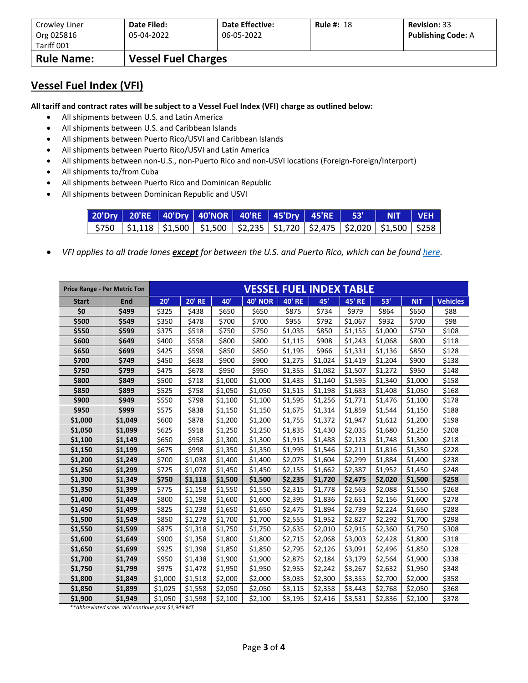| Crowley Liner<br>Org 025816 | Date Filed:<br>05-04-2022  | <b>Date Effective:</b><br>06-05-2022 | <b>Rule #: 18</b> | <b>Revision: 33</b><br><b>Publishing Code: A</b> |
|-----------------------------|----------------------------|--------------------------------------|-------------------|--------------------------------------------------|
| Tariff 001                  |                            |                                      |                   |                                                  |
| <b>Rule Name:</b>           | <b>Vessel Fuel Charges</b> |                                      |                   |                                                  |

### **Vessel Fuel Index (VFI)**

**All tariff and contract rates will be subject to a Vessel Fuel Index (VFI) charge as outlined below:**

- All shipments between U.S. and Latin America
- All shipments between U.S. and Caribbean Islands
- All shipments between Puerto Rico/USVI and Caribbean Islands
- All shipments between Puerto Rico/USVI and Latin America
- All shipments between non-U.S., non-Puerto Rico and non-USVI locations (Foreign-Foreign/Interport)
- All shipments to/from Cuba
- All shipments between Puerto Rico and Dominican Republic
- All shipments between Dominican Republic and USVI

|  |                                                                                                         | 20'Dry 20'RE 40'Dry 40'NOR 40'RE 45'Dry 45'RE 53' NIT VEH |  |  |  |
|--|---------------------------------------------------------------------------------------------------------|-----------------------------------------------------------|--|--|--|
|  | $$750$   $$1,118$   $$1,500$   $$1,500$   $$2,235$   $$1,720$   $$2,475$   $$2,020$   $$1,500$   $$258$ |                                                           |  |  |  |

• *VFI applies to all trade lanes except for between the U.S. and Puerto Rico, which can be foun[d here.](https://www.crowley.com/logistics/resources/rates-tariffs/stb/#18-1-vessel-fuel-surcharge-between-the-continental-us-and-puerto-rico)*

|              | <b>Price Range - Per Metric Ton</b> |         |               |         | <b>VESSEL FUEL INDEX TABLE</b> |               |         |               |         |            |                 |
|--------------|-------------------------------------|---------|---------------|---------|--------------------------------|---------------|---------|---------------|---------|------------|-----------------|
| <b>Start</b> | <b>End</b>                          | 20'     | <b>20' RE</b> | 40'     | <b>40' NOR</b>                 | <b>40' RE</b> | 45'     | <b>45' RE</b> | 53'     | <b>NIT</b> | <b>Vehicles</b> |
| \$0          | \$499                               | \$325   | \$438         | \$650   | \$650                          | \$875         | \$734   | \$979         | \$864   | \$650      | \$88            |
| \$500        | \$549                               | \$350   | \$478         | \$700   | \$700                          | \$955         | \$792   | \$1,067       | \$932   | \$700      | \$98            |
| \$550        | \$599                               | \$375   | \$518         | \$750   | \$750                          | \$1,035       | \$850   | \$1,155       | \$1,000 | \$750      | \$108           |
| \$600        | \$649                               | \$400   | \$558         | \$800   | \$800                          | \$1,115       | \$908   | \$1,243       | \$1,068 | \$800      | \$118           |
| \$650        | \$699                               | \$425   | \$598         | \$850   | \$850                          | \$1,195       | \$966   | \$1,331       | \$1,136 | \$850      | \$128           |
| \$700        | \$749                               | \$450   | \$638         | \$900   | \$900                          | \$1,275       | \$1,024 | \$1,419       | \$1,204 | \$900      | \$138           |
| \$750        | \$799                               | \$475   | \$678         | \$950   | \$950                          | \$1,355       | \$1,082 | \$1,507       | \$1,272 | \$950      | \$148           |
| \$800        | \$849                               | \$500   | \$718         | \$1,000 | \$1,000                        | \$1,435       | \$1,140 | \$1,595       | \$1,340 | \$1,000    | \$158           |
| \$850        | \$899                               | \$525   | \$758         | \$1,050 | \$1,050                        | \$1,515       | \$1,198 | \$1,683       | \$1,408 | \$1,050    | \$168           |
| \$900        | \$949                               | \$550   | \$798         | \$1,100 | \$1,100                        | \$1,595       | \$1,256 | \$1,771       | \$1,476 | \$1,100    | \$178           |
| \$950        | \$999                               | \$575   | \$838         | \$1,150 | \$1,150                        | \$1,675       | \$1,314 | \$1,859       | \$1,544 | \$1,150    | \$188           |
| \$1,000      | \$1,049                             | \$600   | \$878         | \$1,200 | \$1,200                        | \$1,755       | \$1,372 | \$1,947       | \$1,612 | \$1,200    | \$198           |
| \$1,050      | \$1,099                             | \$625   | \$918         | \$1,250 | \$1,250                        | \$1,835       | \$1,430 | \$2,035       | \$1,680 | \$1,250    | \$208           |
| \$1,100      | \$1,149                             | \$650   | \$958         | \$1,300 | \$1,300                        | \$1,915       | \$1,488 | \$2,123       | \$1,748 | \$1,300    | \$218           |
| \$1,150      | \$1,199                             | \$675   | \$998         | \$1,350 | \$1,350                        | \$1,995       | \$1,546 | \$2,211       | \$1,816 | \$1,350    | \$228           |
| \$1,200      | \$1,249                             | \$700   | \$1,038       | \$1,400 | \$1,400                        | \$2,075       | \$1,604 | \$2,299       | \$1,884 | \$1,400    | \$238           |
| \$1,250      | \$1,299                             | \$725   | \$1,078       | \$1,450 | \$1,450                        | \$2,155       | \$1,662 | \$2,387       | \$1,952 | \$1,450    | \$248           |
| \$1,300      | \$1,349                             | \$750   | \$1,118       | \$1,500 | \$1,500                        | \$2,235       | \$1,720 | \$2,475       | \$2,020 | \$1,500    | \$258           |
| \$1,350      | \$1,399                             | \$775   | \$1,158       | \$1,550 | \$1,550                        | \$2,315       | \$1,778 | \$2,563       | \$2,088 | \$1,550    | \$268           |
| \$1,400      | \$1,449                             | \$800   | \$1,198       | \$1,600 | \$1,600                        | \$2,395       | \$1,836 | \$2,651       | \$2,156 | \$1,600    | \$278           |
| \$1,450      | \$1,499                             | \$825   | \$1,238       | \$1,650 | \$1,650                        | \$2,475       | \$1,894 | \$2,739       | \$2,224 | \$1,650    | \$288           |
| \$1,500      | \$1,549                             | \$850   | \$1,278       | \$1,700 | \$1,700                        | \$2,555       | \$1,952 | \$2,827       | \$2,292 | \$1,700    | \$298           |
| \$1,550      | \$1,599                             | \$875   | \$1,318       | \$1,750 | \$1,750                        | \$2,635       | \$2,010 | \$2,915       | \$2,360 | \$1,750    | \$308           |
| \$1,600      | \$1,649                             | \$900   | \$1,358       | \$1,800 | \$1,800                        | \$2,715       | \$2,068 | \$3,003       | \$2,428 | \$1,800    | \$318           |
| \$1,650      | \$1,699                             | \$925   | \$1,398       | \$1,850 | \$1,850                        | \$2,795       | \$2,126 | \$3,091       | \$2,496 | \$1,850    | \$328           |
| \$1,700      | \$1,749                             | \$950   | \$1,438       | \$1,900 | \$1,900                        | \$2,875       | \$2,184 | \$3,179       | \$2,564 | \$1,900    | \$338           |
| \$1,750      | \$1,799                             | \$975   | \$1,478       | \$1,950 | \$1,950                        | \$2,955       | \$2,242 | \$3,267       | \$2,632 | \$1,950    | \$348           |
| \$1,800      | \$1,849                             | \$1,000 | \$1,518       | \$2,000 | \$2,000                        | \$3,035       | \$2,300 | \$3,355       | \$2,700 | \$2,000    | \$358           |
| \$1,850      | \$1,899                             | \$1,025 | \$1,558       | \$2,050 | \$2,050                        | \$3,115       | \$2,358 | \$3,443       | \$2,768 | \$2,050    | \$368           |
| \$1,900      | \$1,949                             | \$1,050 | \$1,598       | \$2,100 | \$2,100                        | \$3,195       | \$2,416 | \$3,531       | \$2,836 | \$2,100    | \$378           |

*\*\*Abbreviated scale. Will continue past \$1,949 MT*